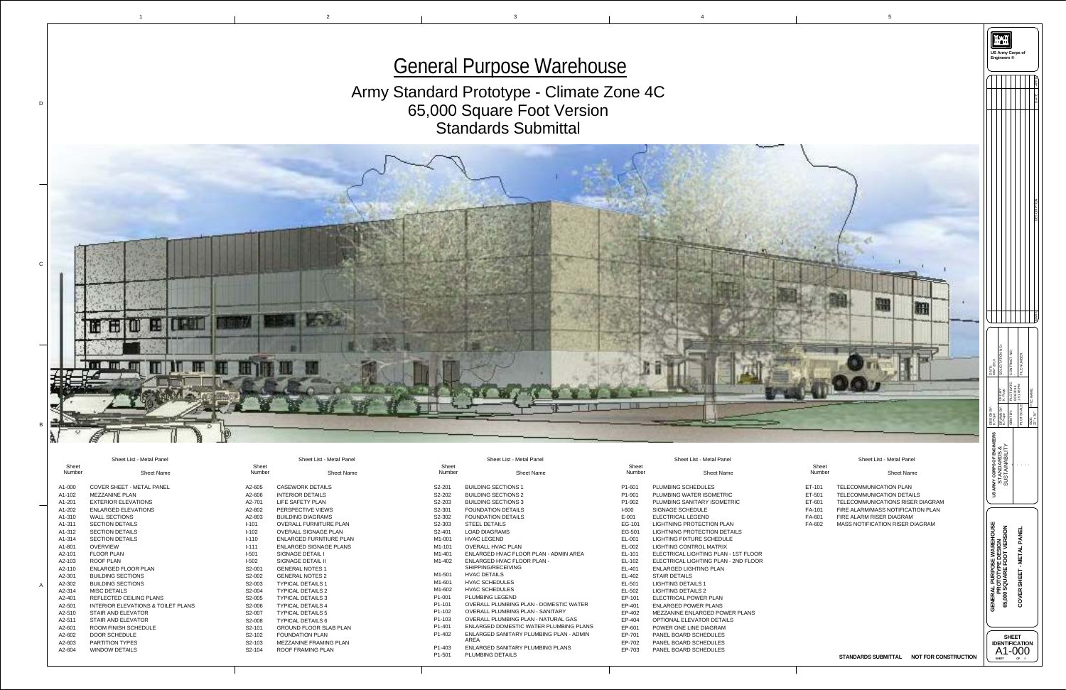

| S <sub>2</sub> -201             | <b>BUILDING SECTIONS 1</b>                              |
|---------------------------------|---------------------------------------------------------|
| S2-202                          | <b>BUILDING SECTIONS 2</b>                              |
| S <sub>2</sub> -20 <sub>3</sub> | <b>BUILDING SECTIONS 3</b>                              |
| S2-301                          | <b>FOUNDATION DETAILS</b>                               |
| S <sub>2</sub> -30 <sub>2</sub> | <b>FOUNDATION DETAILS</b>                               |
| S2-303                          | <b>STEEL DETAILS</b>                                    |
| S <sub>2</sub> -401             | <b>LOAD DIAGRAMS</b>                                    |
| $M1 - 001$                      | <b>HVAC LEGEND</b>                                      |
| M <sub>1</sub> -101             | <b>OVERALL HVAC PLAN</b>                                |
| M <sub>1</sub> -401             | ENLARGED HVAC FLOOR PLAN - ADMIN AREA                   |
| $M1-402$                        | <b>ENLARGED HVAC FLOOR PLAN -</b><br>SHIPPING/RECEIVING |
| M <sub>1</sub> -501             | <b>HVAC DETAILS</b>                                     |
| M <sub>1</sub> -601             | <b>HVAC SCHEDULES</b>                                   |
| M <sub>1</sub> -602             | <b>HVAC SCHEDULES</b>                                   |
| P <sub>1</sub> -001             | <b>PLUMBING LEGEND</b>                                  |
| P <sub>1</sub> -101             | <b>OVERALL PLUMBING PLAN - DOMESTIC WATER</b>           |
| P <sub>1</sub> -10 <sub>2</sub> | <b>OVERALL PLUMBING PLAN - SANITARY</b>                 |
| P <sub>1</sub> -103             | <b>OVERALL PLUMBING PLAN - NATURAL GAS</b>              |
| P <sub>1</sub> -401             | ENLARGED DOMESTIC WATER PLUMBING PLANS                  |
| P <sub>1</sub> -40 <sub>2</sub> | ENLARGED SANITARY PLUMBING PLAN - ADMIN<br><b>AREA</b>  |
| P <sub>1</sub> -403             | ENLARGED SANITARY PLUMBING PLANS                        |
| P <sub>1</sub> -501             | <b>PLUMBING DETAILS</b>                                 |
|                                 |                                                         |

|                | <b>Sheet List - Metal Panel</b>       |
|----------------|---------------------------------------|
| sheet<br>umber | <b>Sheet Name</b>                     |
| 601            | <b>PLUMBING SCHEDULES</b>             |
| 901            | PLUMBING WATER ISOMETRIC              |
| 902            | <b>PLUMBING SANITARY ISOMETRIC</b>    |
| 0              | <b>SIGNAGE SCHEDULE</b>               |
| )1             | <b>ELECTRICAL LEGEND</b>              |
| 101            | <b>LIGHTNING PROTECTION PLAN</b>      |
| 501            | <b>LIGHTNING PROTECTION DETAILS</b>   |
| )01            | <b>LIGHTING FIXTURE SCHEDULE</b>      |
| )02            | <b>LIGHTING CONTROL MATRIX</b>        |
| 101            | ELECTRICAL LIGHTING PLAN - 1ST FLOOR  |
| 102            | ELECTRICAL LIGHTING PLAN - 2ND FLOOR  |
| 101            | <b>ENLARGED LIGHTING PLAN</b>         |
| 102            | <b>STAIR DETAILS</b>                  |
| 501            | <b>LIGHTING DETAILS 1</b>             |
| 502            | <b>LIGHTING DETAILS 2</b>             |
| 101            | <b>ELECTRICAL POWER PLAN</b>          |
| 401            | <b>ENLARGED POWER PLANS</b>           |
| 402            | <b>MEZZANINE ENLARGED POWER PLANS</b> |
| 404            | <b>OPTIONAL ELEVATOR DETAILS</b>      |
| 601            | POWER ONE LINE DIAGRAM                |
| 701            | <b>PANEL BOARD SCHEDULES</b>          |
| 702            | <b>PANEL BOARD SCHEDULES</b>          |
| 703            | <b>PANEL BOARD SCHEDULES</b>          |
|                |                                       |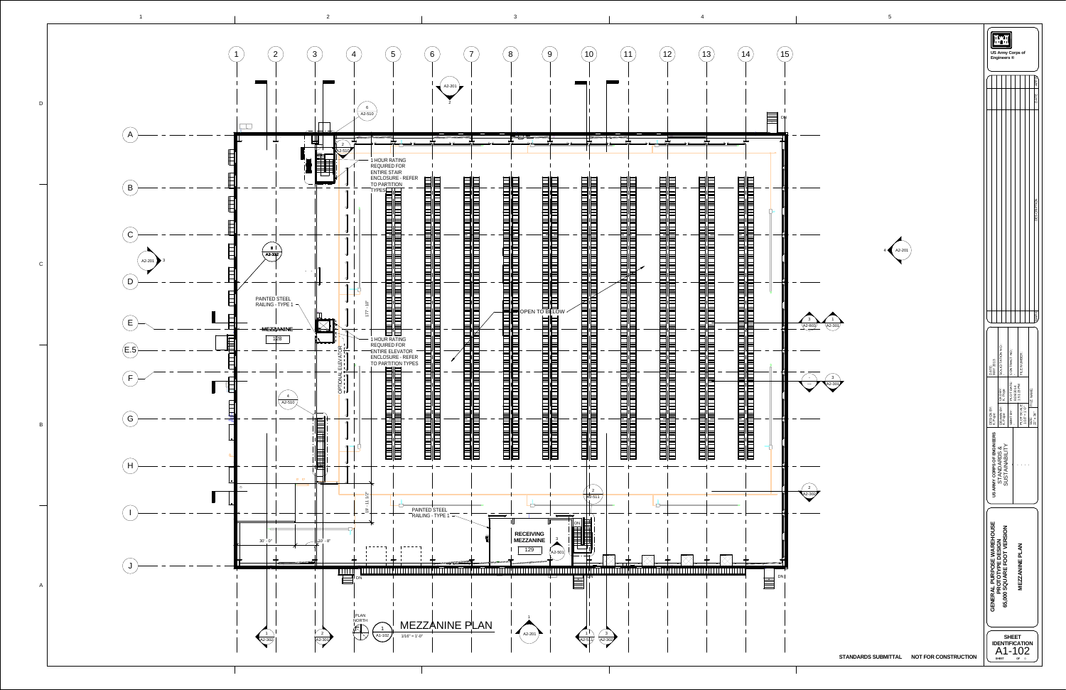